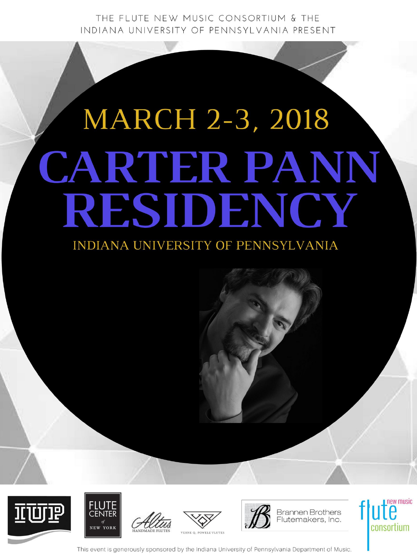THE FLUTE NEW MUSIC CONSORTIUM & THE INDIANA UNIVERSITY OF PENNSYLVANIA PRESENT

# **MARCH 2-3, 2018 CARTER PANN** RESIDENCY















This event is generously sponsored by the Indiana University of Pennsylvania Department of Music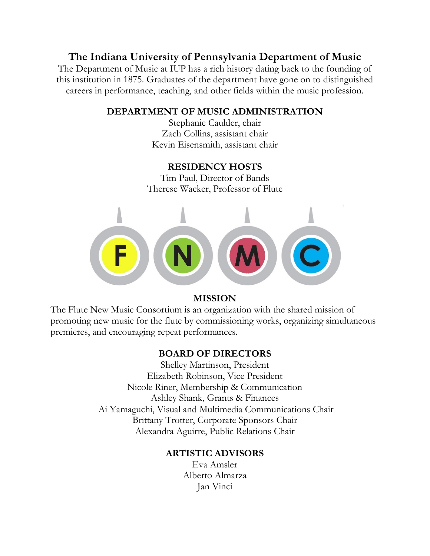## **The Indiana University of Pennsylvania Department of Music**

The Department of Music at IUP has a rich history dating back to the founding of this institution in 1875. Graduates of the department have gone on to distinguished careers in performance, teaching, and other fields within the music profession.

## **DEPARTMENT OF MUSIC ADMINISTRATION**

Stephanie Caulder, chair Zach Collins, assistant chair Kevin Eisensmith, assistant chair

## **RESIDENCY HOSTS**

Tim Paul, Director of Bands Therese Wacker, Professor of Flute



## **MISSION**

The Flute New Music Consortium is an organization with the shared mission of promoting new music for the flute by commissioning works, organizing simultaneous premieres, and encouraging repeat performances.

## **BOARD OF DIRECTORS**

Shelley Martinson, President Elizabeth Robinson, Vice President Nicole Riner, Membership & Communication Ashley Shank, Grants & Finances Ai Yamaguchi, Visual and Multimedia Communications Chair Brittany Trotter, Corporate Sponsors Chair Alexandra Aguirre, Public Relations Chair

## **ARTISTIC ADVISORS**

Eva Amsler Alberto Almarza Jan Vinci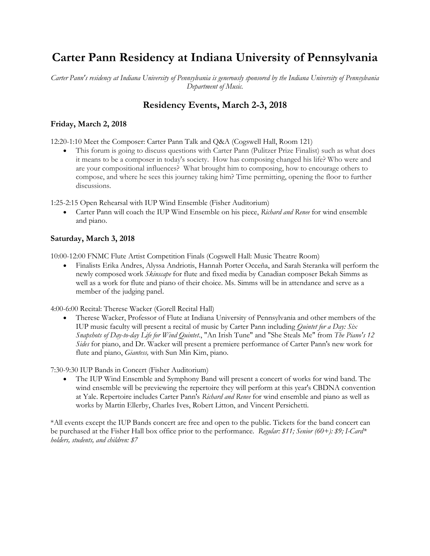# **Carter Pann Residency at Indiana University of Pennsylvania**

*Carter Pann's residency at Indiana University of Pennsylvania is generously sponsored by the Indiana University of Pennsylvania Department of Music.*

## **Residency Events, March 2-3, 2018**

## **Friday, March 2, 2018**

12:20-1:10 Meet the Composer: Carter Pann Talk and Q&A (Cogswell Hall, Room 121)

 This forum is going to discuss questions with Carter Pann (Pulitzer Prize Finalist) such as what does it means to be a composer in today's society. How has composing changed his life? Who were and are your compositional influences? What brought him to composing, how to encourage others to compose, and where he sees this journey taking him? Time permitting, opening the floor to further discussions.

1:25-2:15 Open Rehearsal with IUP Wind Ensemble (Fisher Auditorium)

 Carter Pann will coach the IUP Wind Ensemble on his piece, *Richard and Renee* for wind ensemble and piano.

## **Saturday, March 3, 2018**

10:00-12:00 FNMC Flute Artist Competition Finals (Cogswell Hall: Music Theatre Room)

 Finalists Erika Andres, Alyssa Andriotis, Hannah Porter Occeña, and Sarah Steranka will perform the newly composed work *Skinscape* for flute and fixed media by Canadian composer Bekah Simms as well as a work for flute and piano of their choice. Ms. Simms will be in attendance and serve as a member of the judging panel.

4:00-6:00 Recital: Therese Wacker (Gorell Recital Hall)

 Therese Wacker, Professor of Flute at Indiana University of Pennsylvania and other members of the IUP music faculty will present a recital of music by Carter Pann including *Quintet for a Day: Six Snapshots of Day-to-day Life for Wind Quintet*., "An Irish Tune" and "She Steals Me" from *The Piano's 12 Sides* for piano, and Dr. Wacker will present a premiere performance of Carter Pann's new work for flute and piano, *Giantess,* with Sun Min Kim, piano.

7:30-9:30 IUP Bands in Concert (Fisher Auditorium)

 The IUP Wind Ensemble and Symphony Band will present a concert of works for wind band. The wind ensemble will be previewing the repertoire they will perform at this year's CBDNA convention at Yale. Repertoire includes Carter Pann's *Richard and Renee* for wind ensemble and piano as well as works by Martin Ellerby, Charles Ives, Robert Litton, and Vincent Persichetti.

\*All events except the IUP Bands concert are free and open to the public. Tickets for the band concert can be purchased at the Fisher Hall box office prior to the performance. *Regular: \$11; Senior (60+): \$9; I-Card\* holders, students, and children: \$7*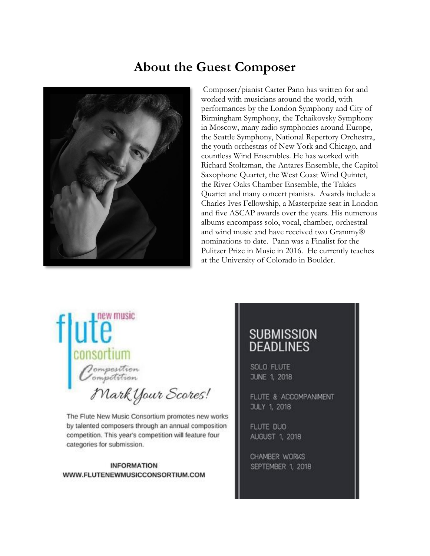# **About the Guest Composer**



Composer/pianist Carter Pann has written for and worked with musicians around the world, with performances by the London Symphony and City of Birmingham Symphony, the Tchaikovsky Symphony in Moscow, many radio symphonies around Europe, the Seattle Symphony, National Repertory Orchestra, the youth orchestras of New York and Chicago, and countless Wind Ensembles. He has worked with Richard Stoltzman, the Antares Ensemble, the Capitol Saxophone Quartet, the West Coast Wind Quintet, the River Oaks Chamber Ensemble, the Takács Quartet and many concert pianists. Awards include a Charles Ives Fellowship, a Masterprize seat in London and five ASCAP awards over the years. His numerous albums encompass solo, vocal, chamber, orchestral and wind music and have received two Grammy® nominations to date. Pann was a Finalist for the Pulitzer Prize in Music in 2016. He currently teaches at the University of Colorado in Boulder.

new music consortium Oomposition<br>Oompetition

Mark Your Scores!

The Flute New Music Consortium promotes new works by talented composers through an annual composition competition. This year's competition will feature four categories for submission.

#### **INFORMATION** WWW.FLUTENEWMUSICCONSORTIUM.COM

# **SUBMISSION DEADLINES**

SOLO FLUTE JUNE 1, 2018

FLUTE & ACCOMPANIMENT **JULY 1, 2018** 

FLUTE DUO AUGUST 1, 2018

CHAMBER WORKS SEPTEMBER 1, 2018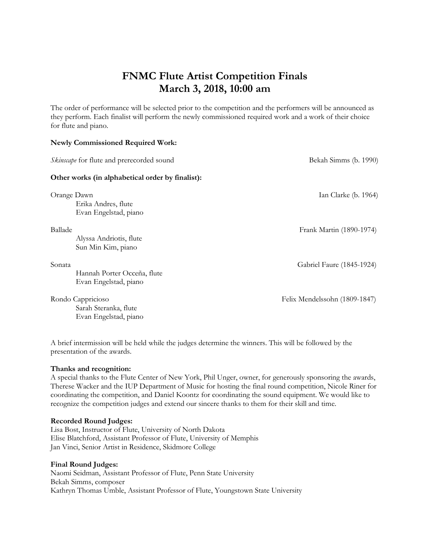## **FNMC Flute Artist Competition Finals March 3, 2018, 10:00 am**

The order of performance will be selected prior to the competition and the performers will be announced as they perform. Each finalist will perform the newly commissioned required work and a work of their choice for flute and piano.

## **Newly Commissioned Required Work:** *Skinscape* for flute and prerecorded sound **Bekah Simms (b. 1990) Other works (in alphabetical order by finalist):** Orange Dawn Ian Clarke (b. 1964) Erika Andres, flute Evan Engelstad, piano Ballade Frank Martin (1890-1974) Alyssa Andriotis, flute Sun Min Kim, piano Sonata Gabriel Faure (1845-1924) Hannah Porter Occeña, flute Evan Engelstad, piano Rondo Cappricioso Felix Mendelssohn (1809-1847) Sarah Steranka, flute Evan Engelstad, piano

A brief intermission will be held while the judges determine the winners. This will be followed by the presentation of the awards.

#### **Thanks and recognition:**

A special thanks to the Flute Center of New York, Phil Unger, owner, for generously sponsoring the awards, Therese Wacker and the IUP Department of Music for hosting the final round competition, Nicole Riner for coordinating the competition, and Daniel Koontz for coordinating the sound equipment. We would like to recognize the competition judges and extend our sincere thanks to them for their skill and time.

### **Recorded Round Judges:**

Lisa Bost, Instructor of Flute, University of North Dakota Elise Blatchford, Assistant Professor of Flute, University of Memphis Jan Vinci, Senior Artist in Residence, Skidmore College

#### **Final Round Judges:**

Naomi Seidman, Assistant Professor of Flute, Penn State University Bekah Simms, composer Kathryn Thomas Umble, Assistant Professor of Flute, Youngstown State University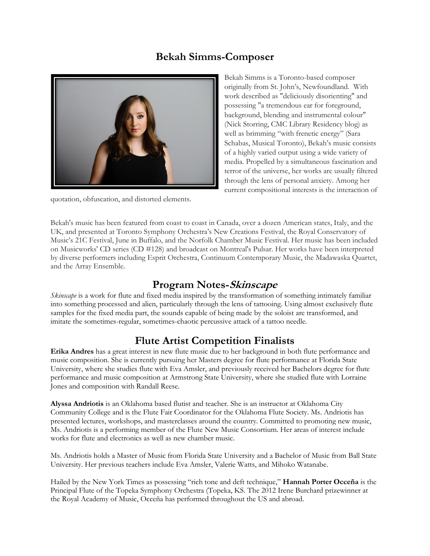## **Bekah Simms-Composer**



quotation, obfuscation, and distorted elements.

Bekah Simms is a Toronto-based composer originally from St. John's, Newfoundland. With work described as "deliciously disorienting" and possessing "a tremendous ear for foreground, background, blending and instrumental colour" (Nick Storring, CMC Library Residency blog) as well as brimming "with frenetic energy" (Sara Schabas, Musical Toronto), Bekah's music consists of a highly varied output using a wide variety of media. Propelled by a simultaneous fascination and terror of the universe, her works are usually filtered through the lens of personal anxiety. Among her current compositional interests is the interaction of

Bekah's music has been featured from coast to coast in Canada, over a dozen American states, Italy, and the UK, and presented at Toronto Symphony Orchestra's New Creations Festival, the Royal Conservatory of Music's 21C Festival, June in Buffalo, and the Norfolk Chamber Music Festival. Her music has been included on Musicworks' CD series (CD #128) and broadcast on Montreal's Pulsar. Her works have been interpreted by diverse performers including Esprit Orchestra, Continuum Contemporary Music, the Madawaska Quartet, and the Array Ensemble.

## **Program Notes-Skinscape**

*Skinscape* is a work for flute and fixed media inspired by the transformation of something intimately familiar into something processed and alien, particularly through the lens of tattooing. Using almost exclusively flute samples for the fixed media part, the sounds capable of being made by the soloist are transformed, and imitate the sometimes-regular, sometimes-chaotic percussive attack of a tattoo needle.

## **Flute Artist Competition Finalists**

**Erika Andres** has a great interest in new flute music due to her background in both flute performance and music composition. She is currently pursuing her Masters degree for flute performance at Florida State University, where she studies flute with Eva Amsler, and previously received her Bachelors degree for flute performance and music composition at Armstrong State University, where she studied flute with Lorraine Jones and composition with Randall Reese.

**Alyssa Andriotis** is an Oklahoma based flutist and teacher. She is an instructor at Oklahoma City Community College and is the Flute Fair Coordinator for the Oklahoma Flute Society. Ms. Andriotis has presented lectures, workshops, and masterclasses around the country. Committed to promoting new music, Ms. Andriotis is a performing member of the Flute New Music Consortium. Her areas of interest include works for flute and electronics as well as new chamber music.

Ms. Andriotis holds a Master of Music from Florida State University and a Bachelor of Music from Ball State University. Her previous teachers include Eva Amsler, Valerie Watts, and Mihoko Watanabe.

Hailed by the New York Times as possessing "rich tone and deft technique," **Hannah Porter Occeña** is the Principal Flute of the Topeka Symphony Orchestra (Topeka, KS. The 2012 Irene Burchard prizewinner at the Royal Academy of Music, Occeña has performed throughout the US and abroad.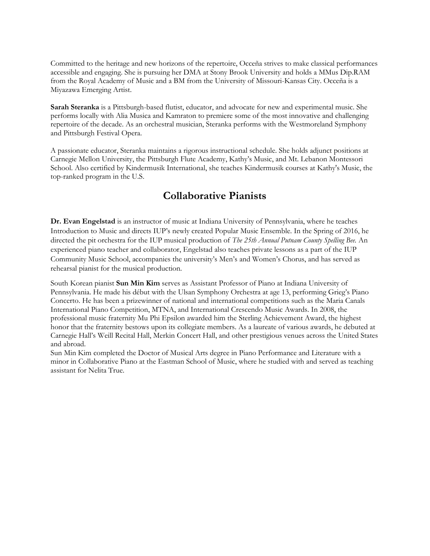Committed to the heritage and new horizons of the repertoire, Occeña strives to make classical performances accessible and engaging. She is pursuing her DMA at Stony Brook University and holds a MMus Dip.RAM from the Royal Academy of Music and a BM from the University of Missouri-Kansas City. Occeña is a Miyazawa Emerging Artist.

**Sarah Steranka** is a Pittsburgh-based flutist, educator, and advocate for new and experimental music. She performs locally with Alia Musica and Kamraton to premiere some of the most innovative and challenging repertoire of the decade. As an orchestral musician, Steranka performs with the Westmoreland Symphony and Pittsburgh Festival Opera.

A passionate educator, Steranka maintains a rigorous instructional schedule. She holds adjunct positions at Carnegie Mellon University, the Pittsburgh Flute Academy, Kathy's Music, and Mt. Lebanon Montessori School. Also certified by Kindermusik International, she teaches Kindermusik courses at Kathy's Music, the top-ranked program in the U.S.

## **Collaborative Pianists**

**Dr. Evan Engelstad** is an instructor of music at Indiana University of Pennsylvania, where he teaches Introduction to Music and directs IUP's newly created Popular Music Ensemble. In the Spring of 2016, he directed the pit orchestra for the IUP musical production of *The 25th Annual Putnam County Spelling Bee.* An experienced piano teacher and collaborator, Engelstad also teaches private lessons as a part of the IUP Community Music School, accompanies the university's Men's and Women's Chorus, and has served as rehearsal pianist for the musical production.

South Korean pianist **Sun Min Kim** serves as Assistant Professor of Piano at Indiana University of Pennsylvania. He made his début with the Ulsan Symphony Orchestra at age 13, performing Grieg's Piano Concerto. He has been a prizewinner of national and international competitions such as the Maria Canals International Piano Competition, MTNA, and International Crescendo Music Awards. In 2008, the professional music fraternity Mu Phi Epsilon awarded him the Sterling Achievement Award, the highest honor that the fraternity bestows upon its collegiate members. As a laureate of various awards, he debuted at Carnegie Hall's Weill Recital Hall, Merkin Concert Hall, and other prestigious venues across the United States and abroad.

Sun Min Kim completed the Doctor of Musical Arts degree in Piano Performance and Literature with a minor in Collaborative Piano at the Eastman School of Music, where he studied with and served as teaching assistant for Nelita True.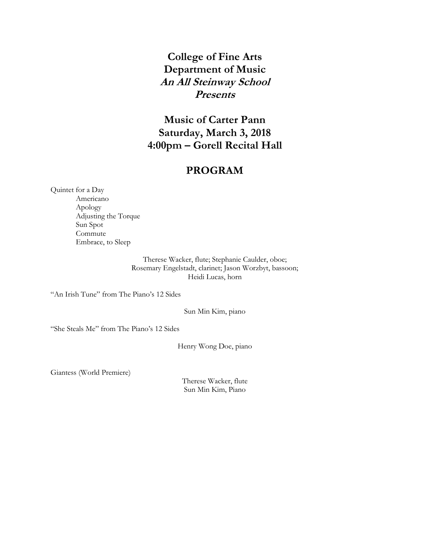## **College of Fine Arts Department of Music An All Steinway School Presents**

## **Music of Carter Pann Saturday, March 3, 2018 4:00pm – Gorell Recital Hall**

## **PROGRAM**

Quintet for a Day Americano Apology Adjusting the Torque Sun Spot Commute Embrace, to Sleep

> Therese Wacker, flute; Stephanie Caulder, oboe; Rosemary Engelstadt, clarinet; Jason Worzbyt, bassoon; Heidi Lucas, horn

"An Irish Tune" from The Piano's 12 Sides

Sun Min Kim, piano

"She Steals Me" from The Piano's 12 Sides

Henry Wong Doe, piano

Giantess (World Premiere)

Therese Wacker, flute Sun Min Kim, Piano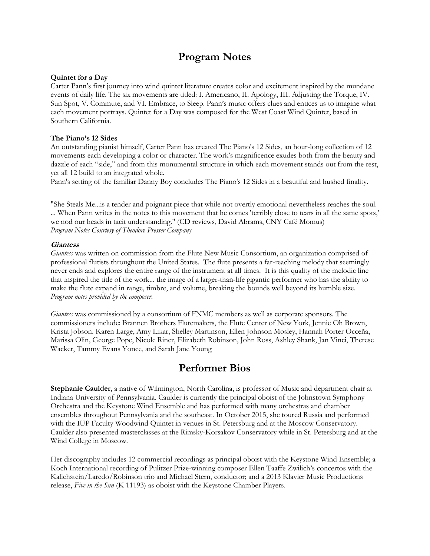## **Program Notes**

#### **Quintet for a Day**

Carter Pann's first journey into wind quintet literature creates color and excitement inspired by the mundane events of daily life. The six movements are titled: I. Americano, II. Apology, III. Adjusting the Torque, IV. Sun Spot, V. Commute, and VI. Embrace, to Sleep. Pann's music offers clues and entices us to imagine what each movement portrays. Quintet for a Day was composed for the West Coast Wind Quintet, based in Southern California.

#### **The Piano's 12 Sides**

An outstanding pianist himself, Carter Pann has created The Piano's 12 Sides, an hour-long collection of 12 movements each developing a color or character. The work's magnificence exudes both from the beauty and dazzle of each "side," and from this monumental structure in which each movement stands out from the rest, yet all 12 build to an integrated whole.

Pann's setting of the familiar Danny Boy concludes The Piano's 12 Sides in a beautiful and hushed finality.

"She Steals Me...is a tender and poignant piece that while not overtly emotional nevertheless reaches the soul. ... When Pann writes in the notes to this movement that he comes 'terribly close to tears in all the same spots,' we nod our heads in tacit understanding." (CD reviews, David Abrams, CNY Café Momus) *Program Notes Courtesy of Theodore Presser Company*

#### **Giantess**

*Giantess* was written on commission from the Flute New Music Consortium, an organization comprised of professional flutists throughout the United States. The flute presents a far-reaching melody that seemingly never ends and explores the entire range of the instrument at all times. It is this quality of the melodic line that inspired the title of the work... the image of a larger-than-life gigantic performer who has the ability to make the flute expand in range, timbre, and volume, breaking the bounds well beyond its humble size. *Program notes provided by the composer.*

*Giantess* was commissioned by a consortium of FNMC members as well as corporate sponsors. The commissioners include: Brannen Brothers Flutemakers, the Flute Center of New York, Jennie Oh Brown, Krista Jobson. Karen Large, Amy Likar, Shelley Martinson, Ellen Johnson Mosley, Hannah Porter Occeña, Marissa Olin, George Pope, Nicole Riner, Elizabeth Robinson, John Ross, Ashley Shank, Jan Vinci, Therese Wacker, Tammy Evans Yonce, and Sarah Jane Young

## **Performer Bios**

**Stephanie Caulder**, a native of Wilmington, North Carolina, is professor of Music and department chair at Indiana University of Pennsylvania. Caulder is currently the principal oboist of the Johnstown Symphony Orchestra and the Keystone Wind Ensemble and has performed with many orchestras and chamber ensembles throughout Pennsylvania and the southeast. In October 2015, she toured Russia and performed with the IUP Faculty Woodwind Quintet in venues in St. Petersburg and at the Moscow Conservatory. Caulder also presented masterclasses at the Rimsky-Korsakov Conservatory while in St. Petersburg and at the Wind College in Moscow.

Her discography includes 12 commercial recordings as principal oboist with the Keystone Wind Ensemble; a Koch International recording of Pulitzer Prize-winning composer Ellen Taaffe Zwilich's concertos with the Kalichstein/Laredo/Robinson trio and Michael Stern, conductor; and a 2013 Klavier Music Productions release, *Five in the Sun* (K 11193) as oboist with the Keystone Chamber Players.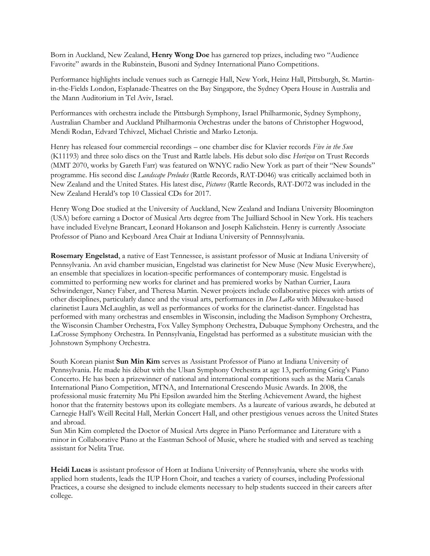Born in Auckland, New Zealand, **Henry Wong Doe** has garnered top prizes, including two "Audience Favorite" awards in the Rubinstein, Busoni and Sydney International Piano Competitions.

Performance highlights include venues such as Carnegie Hall, New York, Heinz Hall, Pittsburgh, St. Martinin-the-Fields London, Esplanade-Theatres on the Bay Singapore, the Sydney Opera House in Australia and the Mann Auditorium in Tel Aviv, Israel.

Performances with orchestra include the Pittsburgh Symphony, Israel Philharmonic, Sydney Symphony, Australian Chamber and Auckland Philharmonia Orchestras under the batons of Christopher Hogwood, Mendi Rodan, Edvard Tchivzel, Michael Christie and Marko Letonja.

Henry has released four commercial recordings – one chamber disc for Klavier records *Five in the Sun*  (K11193) and three solo discs on the Trust and Rattle labels. His debut solo disc *Horizon* on Trust Records (MMT 2070, works by Gareth Farr) was featured on WNYC radio New York as part of their "New Sounds" programme. His second disc *Landscape Preludes* (Rattle Records, RAT-D046) was critically acclaimed both in New Zealand and the United States. His latest disc, *Pictures* (Rattle Records, RAT-D072 was included in the New Zealand Herald's top 10 Classical CDs for 2017.

Henry Wong Doe studied at the University of Auckland, New Zealand and Indiana University Bloomington (USA) before earning a Doctor of Musical Arts degree from The Juilliard School in New York. His teachers have included Evelyne Brancart, Leonard Hokanson and Joseph Kalichstein. Henry is currently Associate Professor of Piano and Keyboard Area Chair at Indiana University of Pennnsylvania.

**Rosemary Engelstad**, a native of East Tennessee, is assistant professor of Music at Indiana University of Pennsylvania. An avid chamber musician, Engelstad was clarinetist for New Muse (New Music Everywhere), an ensemble that specializes in location-specific performances of contemporary music. Engelstad is committed to performing new works for clarinet and has premiered works by Nathan Currier, Laura Schwindenger, Nancy Faber, and Theresa Martin. Newer projects include collaborative pieces with artists of other disciplines, particularly dance and the visual arts, performances in *Duo LaRo* with Milwaukee-based clarinetist Laura McLaughlin, as well as performances of works for the clarinetist-dancer. Engelstad has performed with many orchestras and ensembles in Wisconsin, including the Madison Symphony Orchestra, the Wisconsin Chamber Orchestra, Fox Valley Symphony Orchestra, Dubuque Symphony Orchestra, and the LaCrosse Symphony Orchestra. In Pennsylvania, Engelstad has performed as a substitute musician with the Johnstown Symphony Orchestra.

South Korean pianist **Sun Min Kim** serves as Assistant Professor of Piano at Indiana University of Pennsylvania. He made his début with the Ulsan Symphony Orchestra at age 13, performing Grieg's Piano Concerto. He has been a prizewinner of national and international competitions such as the Maria Canals International Piano Competition, MTNA, and International Crescendo Music Awards. In 2008, the professional music fraternity Mu Phi Epsilon awarded him the Sterling Achievement Award, the highest honor that the fraternity bestows upon its collegiate members. As a laureate of various awards, he debuted at Carnegie Hall's Weill Recital Hall, Merkin Concert Hall, and other prestigious venues across the United States and abroad.

Sun Min Kim completed the Doctor of Musical Arts degree in Piano Performance and Literature with a minor in Collaborative Piano at the Eastman School of Music, where he studied with and served as teaching assistant for Nelita True.

**Heidi Lucas** is assistant professor of Horn at Indiana University of Pennsylvania, where she works with applied horn students, leads the IUP Horn Choir, and teaches a variety of courses, including Professional Practices, a course she designed to include elements necessary to help students succeed in their careers after college.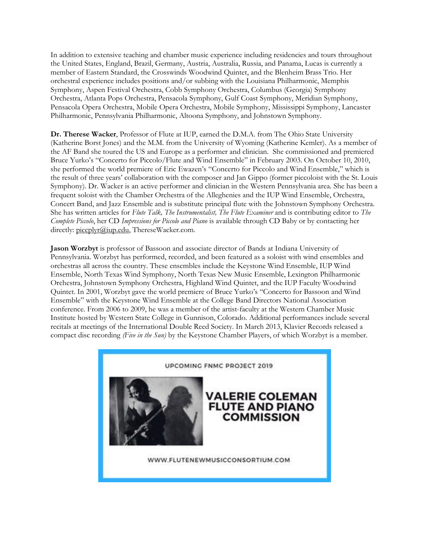In addition to extensive teaching and chamber music experience including residencies and tours throughout the United States, England, Brazil, Germany, Austria, Australia, Russia, and Panama, Lucas is currently a member of Eastern Standard, the Crosswinds Woodwind Quintet, and the Blenheim Brass Trio. Her orchestral experience includes positions and/or subbing with the Louisiana Philharmonic, Memphis Symphony, Aspen Festival Orchestra, Cobb Symphony Orchestra, Columbus (Georgia) Symphony Orchestra, Atlanta Pops Orchestra, Pensacola Symphony, Gulf Coast Symphony, Meridian Symphony, Pensacola Opera Orchestra, Mobile Opera Orchestra, Mobile Symphony, Mississippi Symphony, Lancaster Philharmonic, Pennsylvania Philharmonic, Altoona Symphony, and Johnstown Symphony.

**Dr. Therese Wacker**, Professor of Flute at IUP, earned the D.M.A. from The Ohio State University (Katherine Borst Jones) and the M.M. from the University of Wyoming (Katherine Kemler). As a member of the AF Band she toured the US and Europe as a performer and clinician. She commissioned and premiered Bruce Yurko's "Concerto for Piccolo/Flute and Wind Ensemble" in February 2003. On October 10, 2010, she performed the world premiere of Eric Ewazen's "Concerto for Piccolo and Wind Ensemble," which is the result of three years' collaboration with the composer and Jan Gippo (former piccoloist with the St. Louis Symphony). Dr. Wacker is an active performer and clinician in the Western Pennsylvania area. She has been a frequent soloist with the Chamber Orchestra of the Alleghenies and the IUP Wind Ensemble, Orchestra, Concert Band, and Jazz Ensemble and is substitute principal flute with the Johnstown Symphony Orchestra. She has written articles for *Flute Talk, The Instrumentalist, The Flute Examiner* and is contributing editor to *The Complete Piccolo*, her CD *Impressions for Piccolo and Piano* is available through CD Baby or by contacting her directly: [piccplyr@iup.edu,](mailto:piccplyr@iup.edu) ThereseWacker.com.

**Jason Worzbyt** is professor of Bassoon and associate director of Bands at Indiana University of Pennsylvania. Worzbyt has performed, recorded, and been featured as a soloist with wind ensembles and orchestras all across the country. These ensembles include the Keystone Wind Ensemble, IUP Wind Ensemble, North Texas Wind Symphony, North Texas New Music Ensemble, Lexington Philharmonic Orchestra, Johnstown Symphony Orchestra, Highland Wind Quintet, and the IUP Faculty Woodwind Quintet. In 2001, Worzbyt gave the world premiere of Bruce Yurko's "Concerto for Bassoon and Wind Ensemble" with the Keystone Wind Ensemble at the College Band Directors National Association conference. From 2006 to 2009, he was a member of the artist-faculty at the Western Chamber Music Institute hosted by Western State College in Gunnison, Colorado. Additional performances include several recitals at meetings of the International Double Reed Society. In March 2013, Klavier Records released a compact disc recording *(Five in the Sun)* by the Keystone Chamber Players, of which Worzbyt is a member.

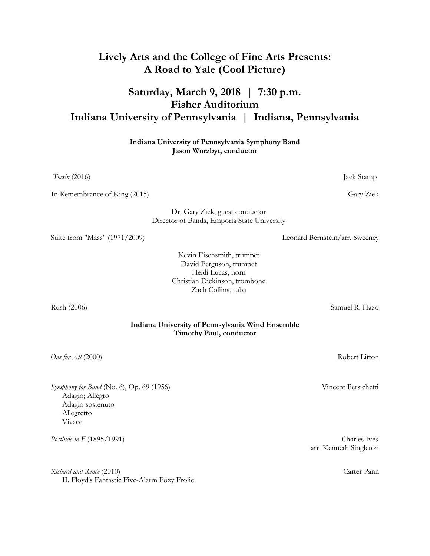## **Lively Arts and the College of Fine Arts Presents: A Road to Yale (Cool Picture)**

## **Saturday, March 9, 2018 | 7:30 p.m. Fisher Auditorium Indiana University of Pennsylvania | Indiana, Pennsylvania**

**Indiana University of Pennsylvania Symphony Band Jason Worzbyt, conductor**

*Tocsin* (2016) **Jack Stamp** 

In Remembrance of King (2015) Gary Ziek

 Dr. Gary Ziek, guest conductor Director of Bands, Emporia State University

Suite from "Mass" (1971/2009) Leonard Bernstein/arr. Sweeney

 Kevin Eisensmith, trumpet David Ferguson, trumpet Heidi Lucas, horn Christian Dickinson, trombone Zach Collins, tuba

Rush (2006) Samuel R. Hazo

**Indiana University of Pennsylvania Wind Ensemble Timothy Paul, conductor**

*One for All* (2000) Robert Litton

*Symphony for Band* (No. 6), Op. 69 (1956) Vincent Persichetti Adagio; Allegro Adagio sostenuto Allegretto Vivace

*Richard and Renée* (2010) Carter Pann II. Floyd's Fantastic Five-Alarm Foxy Frolic

*Postlude in F* (1895/1991) Charles Ives arr. Kenneth Singleton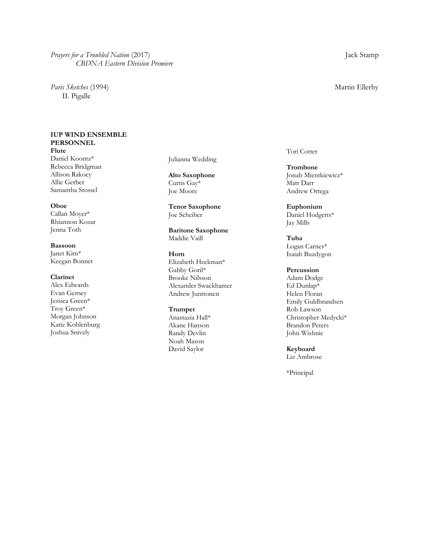*Prayers for a Troubled Nation* (2017) Jack Stamp *CBDNA Eastern Division Premiere*

*Paris Sketches* (1994) Martin Ellerby II. Pigalle

#### **IUP WIND ENSEMBLE PERSONNEL**

**Flute** Daniel Koontz\* Rebecca Bridgman Allison Rakocy Allie Gerber Samantha Stossel

#### **Oboe**

Callan Moyer\* Rhiannon Kosar Jenna Toth

#### **Bassoon**

Janet Kim\* Keegan Bonnet

#### **Clarinet**

Alex Edwards Evan Gerney Jessica Green\* Troy Green\* Morgan Johnson Katie Kohlenburg Joshua Snively

Julianna Wedding

**Alto Saxophone**  Curtis Gay\* Joe Moore

**Tenor Saxophone** Joe Scheiber

**Baritone Saxophone** Maddie Vaill

#### **Horn**

Elizabeth Heckman\* Gabby Goril\* Brooke Nilsson Alexander Swackhamer Andrew Junttonen

#### **Trumpet**

Anastazia Hall\* Akane Hanson Randy Devlin Noah Mason David Saylor

Tori Cotter

**Trombone** Jonah Mientkiewicz\* Matt Darr Andrew Ortega

**Euphonium** Daniel Hodgetts\* Jay Mills

**Tuba** Logan Carnes\* Isaiah Buzdygon

#### **Percussion**

Adam Dodge Ed Dunlap\* Helen Floran Emily Guldbrandsen Rob Lawson Christopher Medycki\* Brandon Peters John Wishnie

**Keyboard** Liz Ambrose

\*Principal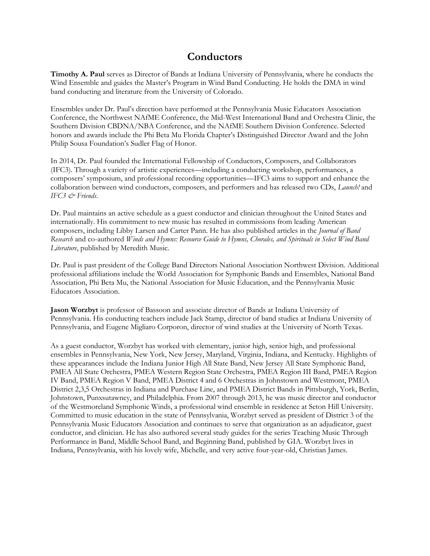## **Conductors**

**Timothy A. Paul** serves as Director of Bands at Indiana University of Pennsylvania, where he conducts the Wind Ensemble and guides the Master's Program in Wind Band Conducting. He holds the DMA in wind band conducting and literature from the University of Colorado.

Ensembles under Dr. Paul's direction have performed at the Pennsylvania Music Educators Association Conference, the Northwest NAfME Conference, the Mid-West International Band and Orchestra Clinic, the Southern Division CBDNA/NBA Conference, and the NAfME Southern Division Conference. Selected honors and awards include the Phi Beta Mu Florida Chapter's Distinguished Director Award and the John Philip Sousa Foundation's Sudler Flag of Honor.

In 2014, Dr. Paul founded the International Fellowship of Conductors, Composers, and Collaborators (IFC3). Through a variety of artistic experiences—including a conducting workshop, performances, a composers' symposium, and professional recording opportunities—IFC3 aims to support and enhance the collaboration between wind conductors, composers, and performers and has released two CDs, *Launch!* and *IFC3 & Friends*.

Dr. Paul maintains an active schedule as a guest conductor and clinician throughout the United States and internationally. His commitment to new music has resulted in commissions from leading American composers, including Libby Larsen and Carter Pann. He has also published articles in the *Journal of Band Research* and co-authored *Winds and Hymns: Resource Guide to Hymns, Chorales, and Spirituals in Select Wind Band Literature*, published by Meredith Music.

Dr. Paul is past president of the College Band Directors National Association Northwest Division. Additional professional affiliations include the World Association for Symphonic Bands and Ensembles, National Band Association, Phi Beta Mu, the National Association for Music Education, and the Pennsylvania Music Educators Association.

**Jason Worzbyt** is professor of Bassoon and associate director of Bands at Indiana University of Pennsylvania. His conducting teachers include Jack Stamp, director of band studies at Indiana University of Pennsylvania, and Eugene Migliaro Corporon, director of wind studies at the University of North Texas.

As a guest conductor, Worzbyt has worked with elementary, junior high, senior high, and professional ensembles in Pennsylvania, New York, New Jersey, Maryland, Virginia, Indiana, and Kentucky. Highlights of these appearances include the Indiana Junior High All State Band, New Jersey All State Symphonic Band, PMEA All State Orchestra, PMEA Western Region State Orchestra, PMEA Region III Band, PMEA Region IV Band, PMEA Region V Band, PMEA District 4 and 6 Orchestras in Johnstown and Westmont, PMEA District 2,3,5 Orchestras in Indiana and Purchase Line, and PMEA District Bands in Pittsburgh, York, Berlin, Johnstown, Punxsutawney, and Philadelphia. From 2007 through 2013, he was music director and conductor of the Westmoreland Symphonic Winds, a professional wind ensemble in residence at Seton Hill University. Committed to music education in the state of Pennsylvania, Worzbyt served as president of District 3 of the Pennsylvania Music Educators Association and continues to serve that organization as an adjudicator, guest conductor, and clinician. He has also authored several study guides for the series Teaching Music Through Performance in Band, Middle School Band, and Beginning Band, published by GIA. Worzbyt lives in Indiana, Pennsylvania, with his lovely wife, Michelle, and very active four-year-old, Christian James.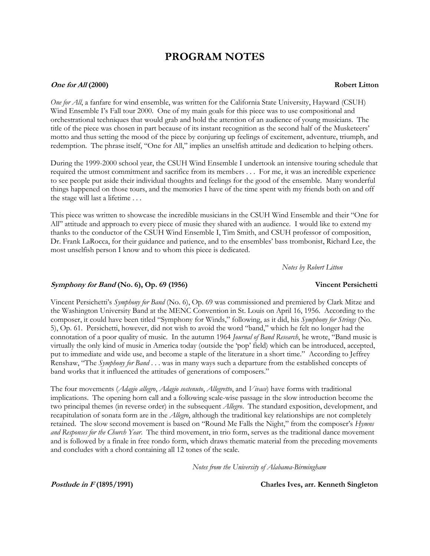## **PROGRAM NOTES**

#### **One for All (2000) Robert Litton**

*One for All*, a fanfare for wind ensemble, was written for the California State University, Hayward (CSUH) Wind Ensemble I's Fall tour 2000. One of my main goals for this piece was to use compositional and orchestrational techniques that would grab and hold the attention of an audience of young musicians. The title of the piece was chosen in part because of its instant recognition as the second half of the Musketeers' motto and thus setting the mood of the piece by conjuring up feelings of excitement, adventure, triumph, and redemption. The phrase itself, "One for All," implies an unselfish attitude and dedication to helping others.

During the 1999-2000 school year, the CSUH Wind Ensemble I undertook an intensive touring schedule that required the utmost commitment and sacrifice from its members . . . For me, it was an incredible experience to see people put aside their individual thoughts and feelings for the good of the ensemble. Many wonderful things happened on those tours, and the memories I have of the time spent with my friends both on and off the stage will last a lifetime . . .

This piece was written to showcase the incredible musicians in the CSUH Wind Ensemble and their "One for All" attitude and approach to every piece of music they shared with an audience. I would like to extend my thanks to the conductor of the CSUH Wind Ensemble I, Tim Smith, and CSUH professor of composition, Dr. Frank LaRocca, for their guidance and patience, and to the ensembles' bass trombonist, Richard Lee, the most unselfish person I know and to whom this piece is dedicated.

 *Notes by Robert Litton*

#### **Symphony for Band (No. 6), Op. 69 (1956) Vincent Persichetti**

Vincent Persichetti's *Symphony for Band* (No. 6), Op. 69 was commissioned and premiered by Clark Mitze and the Washington University Band at the MENC Convention in St. Louis on April 16, 1956. According to the composer, it could have been titled "Symphony for Winds," following, as it did, his *Symphony for Strings* (No. 5), Op. 61. Persichetti, however, did not wish to avoid the word "band," which he felt no longer had the connotation of a poor quality of music. In the autumn 1964 *Journal of Band Research*, he wrote, "Band music is virtually the only kind of music in America today (outside the 'pop' field) which can be introduced, accepted, put to immediate and wide use, and become a staple of the literature in a short time." According to Jeffrey Renshaw, "The *Symphony for Band* . . . was in many ways such a departure from the established concepts of band works that it influenced the attitudes of generations of composers."

The four movements (*Adagio allegro*, *Adagio sostenuto*, *Allegretto*, and *Vivace*) have forms with traditional implications. The opening horn call and a following scale-wise passage in the slow introduction become the two principal themes (in reverse order) in the subsequent *Allegro*. The standard exposition, development, and recapitulation of sonata form are in the *Allegro*, although the traditional key relationships are not completely retained. The slow second movement is based on "Round Me Falls the Night," from the composer's *Hymns and Responses for the Church Year*. The third movement, in trio form, serves as the traditional dance movement and is followed by a finale in free rondo form, which draws thematic material from the preceding movements and concludes with a chord containing all 12 tones of the scale.

 *Notes from the University of Alabama-Birmingham*

**Postlude in F (1895/1991) Charles Ives, arr. Kenneth Singleton**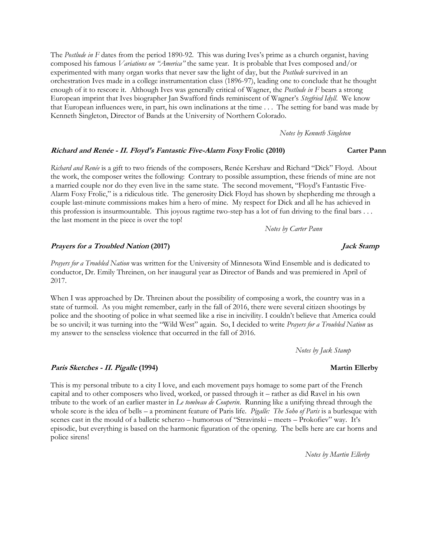The *Postlude in F* dates from the period 1890-92. This was during Ives's prime as a church organist, having composed his famous *Variations on "America"* the same year. It is probable that Ives composed and/or experimented with many organ works that never saw the light of day, but the *Postlude* survived in an orchestration Ives made in a college instrumentation class (1896-97), leading one to conclude that he thought enough of it to rescore it. Although Ives was generally critical of Wagner, the *Postlude in F* bears a strong European imprint that Ives biographer Jan Swafford finds reminiscent of Wagner's *Stegfried Idyll*. We know that European influences were, in part, his own inclinations at the time . . . The setting for band was made by Kenneth Singleton, Director of Bands at the University of Northern Colorado.

*Notes by Kenneth Singleton*

#### **Richard and Renée - II. Floyd's Fantastic Five-Alarm Foxy Frolic (2010) Carter Pann**

*Richard and Renée* is a gift to two friends of the composers, Renée Kershaw and Richard "Dick" Floyd. About the work, the composer writes the following: Contrary to possible assumption, these friends of mine are not a married couple nor do they even live in the same state. The second movement, "Floyd's Fantastic Five-Alarm Foxy Frolic," is a ridiculous title. The generosity Dick Floyd has shown by shepherding me through a couple last-minute commissions makes him a hero of mine. My respect for Dick and all he has achieved in this profession is insurmountable. This joyous ragtime two-step has a lot of fun driving to the final bars . . . the last moment in the piece is over the top!

 *Notes by Carter Pann*

#### **Prayers for a Troubled Nation (2017) Jack Stamp**

*Prayers for a Troubled Nation* was written for the University of Minnesota Wind Ensemble and is dedicated to conductor, Dr. Emily Threinen, on her inaugural year as Director of Bands and was premiered in April of 2017.

When I was approached by Dr. Threinen about the possibility of composing a work, the country was in a state of turmoil. As you might remember, early in the fall of 2016, there were several citizen shootings by police and the shooting of police in what seemed like a rise in incivility. I couldn't believe that America could be so uncivil; it was turning into the "Wild West" again. So, I decided to write *Prayers for a Troubled Nation* as my answer to the senseless violence that occurred in the fall of 2016.

 *Notes by Jack Stamp*

This is my personal tribute to a city I love, and each movement pays homage to some part of the French capital and to other composers who lived, worked, or passed through it – rather as did Ravel in his own tribute to the work of an earlier master in *Le tombeau de Couperin*. Running like a unifying thread through the whole score is the idea of bells – a prominent feature of Paris life. *Pigalle: The Soho of Paris* is a burlesque with scenes cast in the mould of a balletic scherzo – humorous of "Stravinski – meets – Prokofiev" way. It's episodic, but everything is based on the harmonic figuration of the opening. The bells here are car horns and police sirens!

*Notes by Martin Ellerby*

#### **Paris Sketches - II. Pigalle** (1994) Martin Ellerby